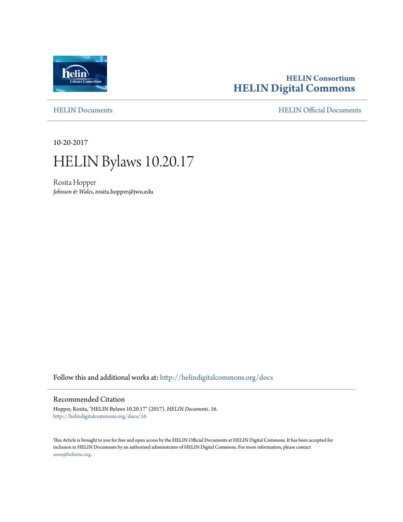

# **HELIN Consortium [HELIN Digital Commons](http://helindigitalcommons.org?utm_source=helindigitalcommons.org%2Fdocs%2F16&utm_medium=PDF&utm_campaign=PDFCoverPages)**

[HELIN Documents](http://helindigitalcommons.org/docs?utm_source=helindigitalcommons.org%2Fdocs%2F16&utm_medium=PDF&utm_campaign=PDFCoverPages) [HELIN Official Documents](http://helindigitalcommons.org/documents?utm_source=helindigitalcommons.org%2Fdocs%2F16&utm_medium=PDF&utm_campaign=PDFCoverPages)

10-20-2017



Rosita Hopper *Johnson & Wales*, rosita.hopper@jwu.edu

Follow this and additional works at: [http://helindigitalcommons.org/docs](http://helindigitalcommons.org/docs?utm_source=helindigitalcommons.org%2Fdocs%2F16&utm_medium=PDF&utm_campaign=PDFCoverPages)

#### Recommended Citation

Hopper, Rosita, "HELIN Bylaws 10.20.17" (2017). *HELIN Documents*. 16. [http://helindigitalcommons.org/docs/16](http://helindigitalcommons.org/docs/16?utm_source=helindigitalcommons.org%2Fdocs%2F16&utm_medium=PDF&utm_campaign=PDFCoverPages)

This Article is brought to you for free and open access by the HELIN Official Documents at HELIN Digital Commons. It has been accepted for inclusion in HELIN Documents by an authorized administrator of HELIN Digital Commons. For more information, please contact [anne@helininc.org.](mailto:anne@helininc.org)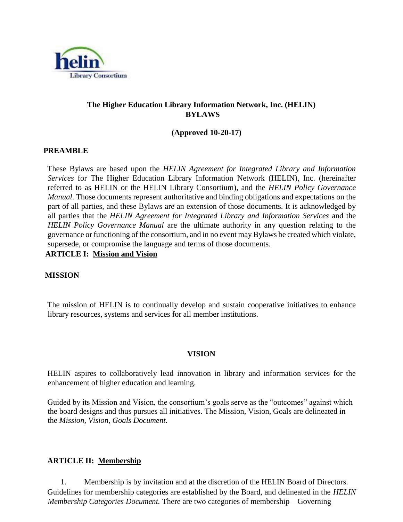

## **The Higher Education Library Information Network, Inc. (HELIN) BYLAWS**

#### **(Approved 10-20-17)**

#### **PREAMBLE**

These Bylaws are based upon the *HELIN Agreement for Integrated Library and Information Services* for The Higher Education Library Information Network (HELIN), Inc. (hereinafter referred to as HELIN or the HELIN Library Consortium), and the *HELIN Policy Governance Manual*. Those documents represent authoritative and binding obligations and expectations on the part of all parties, and these Bylaws are an extension of those documents. It is acknowledged by all parties that the *HELIN Agreement for Integrated Library and Information Services* and the *HELIN Policy Governance Manual* are the ultimate authority in any question relating to the governance or functioning of the consortium, and in no event may Bylaws be created which violate, supersede, or compromise the language and terms of those documents.

## **ARTICLE I: Mission and Vision**

#### **MISSION**

The mission of HELIN is to continually develop and sustain cooperative initiatives to enhance library resources, systems and services for all member institutions.

#### **VISION**

HELIN aspires to collaboratively lead innovation in library and information services for the enhancement of higher education and learning.

Guided by its Mission and Vision, the consortium's goals serve as the "outcomes" against which the board designs and thus pursues all initiatives. The Mission, Vision, Goals are delineated in the *Mission, Vision, Goals Document.*

## **ARTICLE II: Membership**

1. Membership is by invitation and at the discretion of the HELIN Board of Directors. Guidelines for membership categories are established by the Board, and delineated in the *HELIN Membership Categories Document.* There are two categories of membership—Governing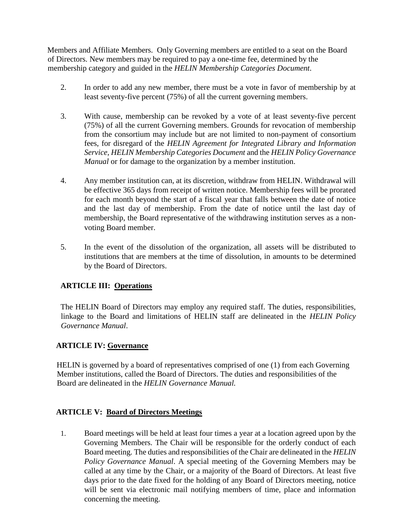Members and Affiliate Members. Only Governing members are entitled to a seat on the Board of Directors. New members may be required to pay a one-time fee, determined by the membership category and guided in the *HELIN Membership Categories Document*.

- 2. In order to add any new member, there must be a vote in favor of membership by at least seventy-five percent (75%) of all the current governing members.
- 3. With cause, membership can be revoked by a vote of at least seventy-five percent (75%) of all the current Governing members. Grounds for revocation of membership from the consortium may include but are not limited to non-payment of consortium fees, for disregard of the *HELIN Agreement for Integrated Library and Information Service, HELIN Membership Categories Document* and the *HELIN Policy Governance Manual* or for damage to the organization by a member institution.
- 4. Any member institution can, at its discretion, withdraw from HELIN. Withdrawal will be effective 365 days from receipt of written notice. Membership fees will be prorated for each month beyond the start of a fiscal year that falls between the date of notice and the last day of membership. From the date of notice until the last day of membership, the Board representative of the withdrawing institution serves as a nonvoting Board member.
- 5. In the event of the dissolution of the organization, all assets will be distributed to institutions that are members at the time of dissolution, in amounts to be determined by the Board of Directors.

## **ARTICLE III: Operations**

The HELIN Board of Directors may employ any required staff. The duties, responsibilities, linkage to the Board and limitations of HELIN staff are delineated in the *HELIN Policy Governance Manual*.

## **ARTICLE IV: Governance**

HELIN is governed by a board of representatives comprised of one (1) from each Governing Member institutions, called the Board of Directors. The duties and responsibilities of the Board are delineated in the *HELIN Governance Manual.* 

## **ARTICLE V: Board of Directors Meetings**

1. Board meetings will be held at least four times a year at a location agreed upon by the Governing Members. The Chair will be responsible for the orderly conduct of each Board meeting. The duties and responsibilities of the Chair are delineated in the *HELIN Policy Governance Manual*. A special meeting of the Governing Members may be called at any time by the Chair, or a majority of the Board of Directors. At least five days prior to the date fixed for the holding of any Board of Directors meeting, notice will be sent via electronic mail notifying members of time, place and information concerning the meeting.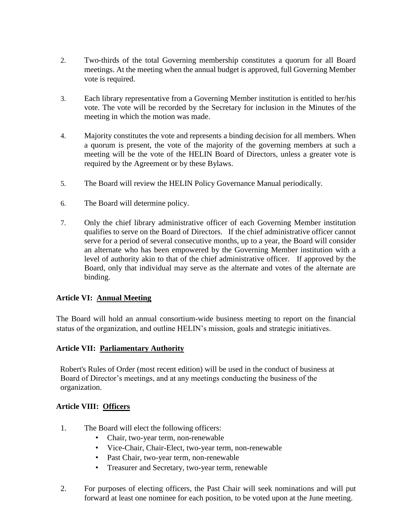- 2. Two-thirds of the total Governing membership constitutes a quorum for all Board meetings. At the meeting when the annual budget is approved, full Governing Member vote is required.
- 3. Each library representative from a Governing Member institution is entitled to her/his vote. The vote will be recorded by the Secretary for inclusion in the Minutes of the meeting in which the motion was made.
- 4. Majority constitutes the vote and represents a binding decision for all members. When a quorum is present, the vote of the majority of the governing members at such a meeting will be the vote of the HELIN Board of Directors, unless a greater vote is required by the Agreement or by these Bylaws.
- 5. The Board will review the HELIN Policy Governance Manual periodically.
- 6. The Board will determine policy.
- 7. Only the chief library administrative officer of each Governing Member institution qualifies to serve on the Board of Directors. If the chief administrative officer cannot serve for a period of several consecutive months, up to a year, the Board will consider an alternate who has been empowered by the Governing Member institution with a level of authority akin to that of the chief administrative officer. If approved by the Board, only that individual may serve as the alternate and votes of the alternate are binding.

## **Article VI: Annual Meeting**

The Board will hold an annual consortium-wide business meeting to report on the financial status of the organization, and outline HELIN's mission, goals and strategic initiatives.

## **Article VII: Parliamentary Authority**

Robert's Rules of Order (most recent edition) will be used in the conduct of business at Board of Director's meetings, and at any meetings conducting the business of the organization.

## **Article VIII: Officers**

- 1. The Board will elect the following officers:
	- Chair, two-year term, non-renewable
	- Vice-Chair, Chair-Elect, two-year term, non-renewable
	- Past Chair, two-year term, non-renewable
	- Treasurer and Secretary, two-year term, renewable
- 2. For purposes of electing officers, the Past Chair will seek nominations and will put forward at least one nominee for each position, to be voted upon at the June meeting.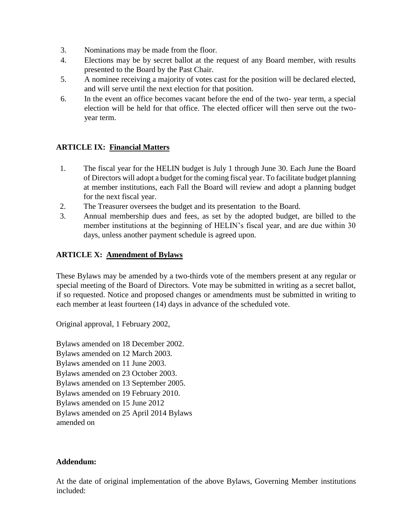- 3. Nominations may be made from the floor.
- 4. Elections may be by secret ballot at the request of any Board member, with results presented to the Board by the Past Chair.
- 5. A nominee receiving a majority of votes cast for the position will be declared elected, and will serve until the next election for that position.
- 6. In the event an office becomes vacant before the end of the two- year term, a special election will be held for that office. The elected officer will then serve out the twoyear term.

## **ARTICLE IX: Financial Matters**

- 1. The fiscal year for the HELIN budget is July 1 through June 30. Each June the Board of Directors will adopt a budget for the coming fiscal year. To facilitate budget planning at member institutions, each Fall the Board will review and adopt a planning budget for the next fiscal year.
- 2. The Treasurer oversees the budget and its presentation to the Board.
- 3. Annual membership dues and fees, as set by the adopted budget, are billed to the member institutions at the beginning of HELIN's fiscal year, and are due within 30 days, unless another payment schedule is agreed upon.

## **ARTICLE X: Amendment of Bylaws**

These Bylaws may be amended by a two-thirds vote of the members present at any regular or special meeting of the Board of Directors. Vote may be submitted in writing as a secret ballot, if so requested. Notice and proposed changes or amendments must be submitted in writing to each member at least fourteen (14) days in advance of the scheduled vote.

Original approval, 1 February 2002,

Bylaws amended on 18 December 2002. Bylaws amended on 12 March 2003. Bylaws amended on 11 June 2003. Bylaws amended on 23 October 2003. Bylaws amended on 13 September 2005. Bylaws amended on 19 February 2010. Bylaws amended on 15 June 2012 Bylaws amended on 25 April 2014 Bylaws amended on

## **Addendum:**

At the date of original implementation of the above Bylaws, Governing Member institutions included: